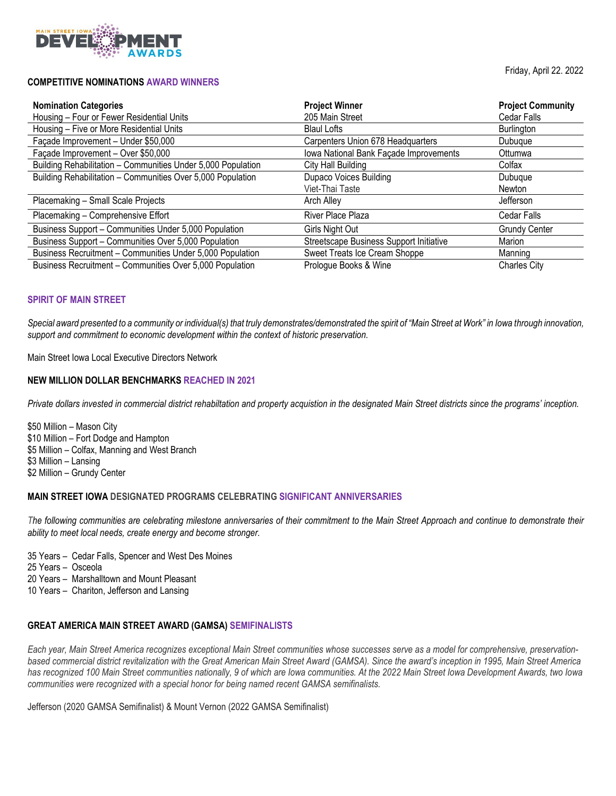

## **COMPETITIVE NOMINATIONS AWARD WINNERS**

Friday, April 22. 2022

| <b>Nomination Categories</b>                                 | <b>Project Winner</b>                   | <b>Project Community</b> |
|--------------------------------------------------------------|-----------------------------------------|--------------------------|
| Housing - Four or Fewer Residential Units                    | 205 Main Street                         | <b>Cedar Falls</b>       |
| Housing - Five or More Residential Units                     | <b>Blaul Lofts</b>                      | Burlington               |
| Façade Improvement - Under \$50,000                          | Carpenters Union 678 Headquarters       | Dubuque                  |
| Façade Improvement - Over \$50,000                           | Iowa National Bank Façade Improvements  | Ottumwa                  |
| Building Rehabilitation - Communities Under 5,000 Population | City Hall Building                      | Colfax                   |
| Building Rehabilitation - Communities Over 5,000 Population  | <b>Dupaco Voices Building</b>           | Dubuque                  |
|                                                              | Viet-Thai Taste                         | Newton                   |
| Placemaking - Small Scale Projects                           | Arch Alley                              | <b>Jefferson</b>         |
| Placemaking - Comprehensive Effort                           | River Place Plaza                       | <b>Cedar Falls</b>       |
| Business Support - Communities Under 5,000 Population        | Girls Night Out                         | <b>Grundy Center</b>     |
| Business Support - Communities Over 5,000 Population         | Streetscape Business Support Initiative | Marion                   |
| Business Recruitment - Communities Under 5,000 Population    | Sweet Treats Ice Cream Shoppe           | Manning                  |
| Business Recruitment - Communities Over 5,000 Population     | Prologue Books & Wine                   | <b>Charles City</b>      |

## **SPIRIT OF MAIN STREET**

*Special award presented to a community or individual(s) that truly demonstrates/demonstrated the spirit of "Main Street at Work" in Iowa through innovation, support and commitment to economic development within the context of historic preservation.*

Main Street Iowa Local Executive Directors Network

# **NEW MILLION DOLLAR BENCHMARKS REACHED IN 2021**

*Private dollars invested in commercial district rehabiltation and property acquistion in the designated Main Street districts since the programs' inception.* 

\$50 Million – Mason City \$10 Million – Fort Dodge and Hampton \$5 Million – Colfax, Manning and West Branch \$3 Million – Lansing \$2 Million – Grundy Center

#### **MAIN STREET IOWA DESIGNATED PROGRAMS CELEBRATING SIGNIFICANT ANNIVERSARIES**

*The following communities are celebrating milestone anniversaries of their commitment to the Main Street Approach and continue to demonstrate their ability to meet local needs, create energy and become stronger.* 

- 35 Years Cedar Falls, Spencer and West Des Moines
- 25 Years Osceola
- 20 Years Marshalltown and Mount Pleasant
- 10 Years Chariton, Jefferson and Lansing

## **GREAT AMERICA MAIN STREET AWARD (GAMSA) SEMIFINALISTS**

*Each year, Main Street America recognizes exceptional Main Street communities whose successes serve as a model for comprehensive, preservationbased commercial district revitalization with the Great American Main Street Award (GAMSA). Since the award's inception in 1995, Main Street America has recognized 100 Main Street communities nationally, 9 of which are Iowa communities. At the 2022 Main Street Iowa Development Awards, two Iowa communities were recognized with a special honor for being named recent GAMSA semifinalists.*

Jefferson (2020 GAMSA Semifinalist) & Mount Vernon (2022 GAMSA Semifinalist)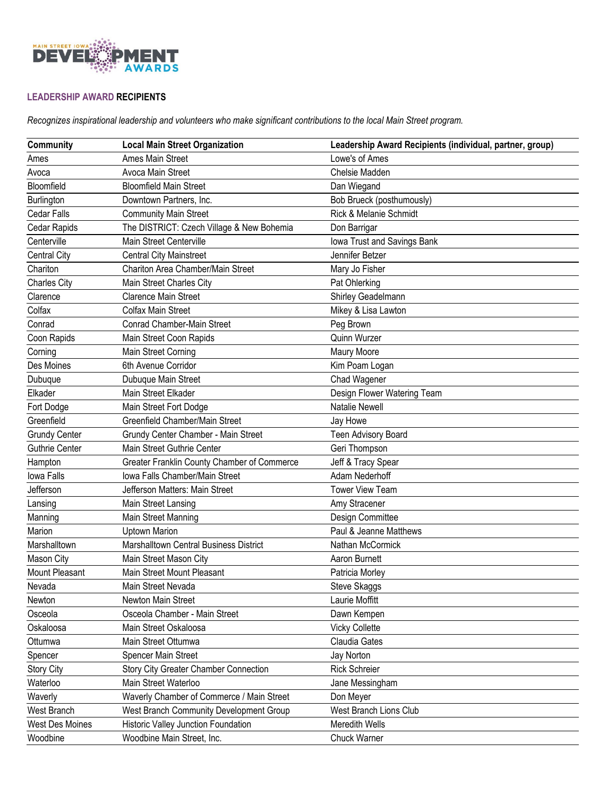

# **LEADERSHIP AWARD RECIPIENTS**

*Recognizes inspirational leadership and volunteers who make significant contributions to the local Main Street program.*

| Community              | <b>Local Main Street Organization</b>         | Leadership Award Recipients (individual, partner, group) |
|------------------------|-----------------------------------------------|----------------------------------------------------------|
| Ames                   | Ames Main Street                              | Lowe's of Ames                                           |
| Avoca                  | Avoca Main Street                             | Chelsie Madden                                           |
| Bloomfield             | <b>Bloomfield Main Street</b>                 | Dan Wiegand                                              |
| Burlington             | Downtown Partners, Inc.                       | Bob Brueck (posthumously)                                |
| <b>Cedar Falls</b>     | <b>Community Main Street</b>                  | Rick & Melanie Schmidt                                   |
| Cedar Rapids           | The DISTRICT: Czech Village & New Bohemia     | Don Barrigar                                             |
| Centerville            | Main Street Centerville                       | lowa Trust and Savings Bank                              |
| <b>Central City</b>    | <b>Central City Mainstreet</b>                | Jennifer Betzer                                          |
| Chariton               | Chariton Area Chamber/Main Street             | Mary Jo Fisher                                           |
| <b>Charles City</b>    | Main Street Charles City                      | Pat Ohlerking                                            |
| Clarence               | <b>Clarence Main Street</b>                   | Shirley Geadelmann                                       |
| Colfax                 | <b>Colfax Main Street</b>                     | Mikey & Lisa Lawton                                      |
| Conrad                 | <b>Conrad Chamber-Main Street</b>             | Peg Brown                                                |
| Coon Rapids            | Main Street Coon Rapids                       | Quinn Wurzer                                             |
| Corning                | Main Street Corning                           | Maury Moore                                              |
| Des Moines             | 6th Avenue Corridor                           | Kim Poam Logan                                           |
| Dubuque                | Dubuque Main Street                           | Chad Wagener                                             |
| Elkader                | Main Street Elkader                           | Design Flower Watering Team                              |
| Fort Dodge             | Main Street Fort Dodge                        | <b>Natalie Newell</b>                                    |
| Greenfield             | Greenfield Chamber/Main Street                | Jay Howe                                                 |
| <b>Grundy Center</b>   | Grundy Center Chamber - Main Street           | <b>Teen Advisory Board</b>                               |
| <b>Guthrie Center</b>  | Main Street Guthrie Center                    | Geri Thompson                                            |
| Hampton                | Greater Franklin County Chamber of Commerce   | Jeff & Tracy Spear                                       |
| Iowa Falls             | Iowa Falls Chamber/Main Street                | Adam Nederhoff                                           |
| Jefferson              | Jefferson Matters: Main Street                | <b>Tower View Team</b>                                   |
| Lansing                | Main Street Lansing                           | Amy Stracener                                            |
| Manning                | Main Street Manning                           | Design Committee                                         |
| Marion                 | <b>Uptown Marion</b>                          | Paul & Jeanne Matthews                                   |
| Marshalltown           | <b>Marshalltown Central Business District</b> | Nathan McCormick                                         |
| Mason City             | Main Street Mason City                        | Aaron Burnett                                            |
| <b>Mount Pleasant</b>  | Main Street Mount Pleasant                    | Patricia Morley                                          |
| Nevada                 | Main Street Nevada                            | Steve Skaggs                                             |
| Newton                 | Newton Main Street                            | Laurie Moffitt                                           |
| Osceola                | Osceola Chamber - Main Street                 | Dawn Kempen                                              |
| Oskaloosa              | Main Street Oskaloosa                         | <b>Vicky Collette</b>                                    |
| Ottumwa                | Main Street Ottumwa                           | Claudia Gates                                            |
| Spencer                | Spencer Main Street                           | Jay Norton                                               |
| <b>Story City</b>      | <b>Story City Greater Chamber Connection</b>  | <b>Rick Schreier</b>                                     |
| Waterloo               | Main Street Waterloo                          | Jane Messingham                                          |
| Waverly                | Waverly Chamber of Commerce / Main Street     | Don Meyer                                                |
| West Branch            | West Branch Community Development Group       | West Branch Lions Club                                   |
| <b>West Des Moines</b> | Historic Valley Junction Foundation           | Meredith Wells                                           |
| Woodbine               | Woodbine Main Street, Inc.                    | Chuck Warner                                             |